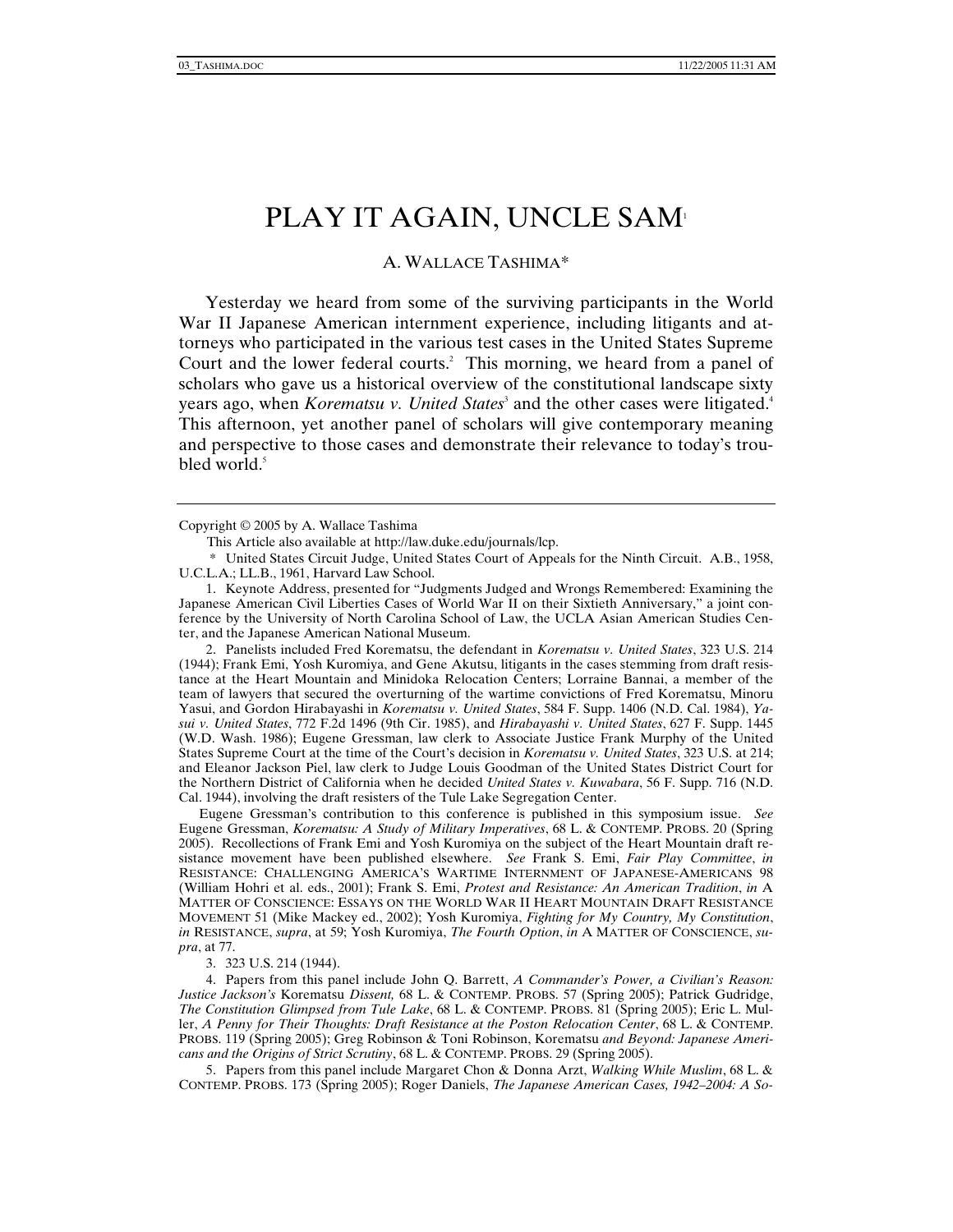## PLAY IT AGAIN, UNCLE SAM<sup>1</sup>

## A. WALLACE TASHIMA\*

Yesterday we heard from some of the surviving participants in the World War II Japanese American internment experience, including litigants and attorneys who participated in the various test cases in the United States Supreme Court and the lower federal courts.<sup>2</sup> This morning, we heard from a panel of scholars who gave us a historical overview of the constitutional landscape sixty years ago, when *Korematsu v. United States*<sup>3</sup> and the other cases were litigated.<sup>4</sup> This afternoon, yet another panel of scholars will give contemporary meaning and perspective to those cases and demonstrate their relevance to today's troubled world. $5$ 

This Article also available at http://law.duke.edu/journals/lcp.

 \* United States Circuit Judge, United States Court of Appeals for the Ninth Circuit. A.B., 1958, U.C.L.A.; LL.B., 1961, Harvard Law School.

 1. Keynote Address, presented for "Judgments Judged and Wrongs Remembered: Examining the Japanese American Civil Liberties Cases of World War II on their Sixtieth Anniversary," a joint conference by the University of North Carolina School of Law, the UCLA Asian American Studies Center, and the Japanese American National Museum.

 2. Panelists included Fred Korematsu, the defendant in *Korematsu v. United States*, 323 U.S. 214 (1944); Frank Emi, Yosh Kuromiya, and Gene Akutsu, litigants in the cases stemming from draft resistance at the Heart Mountain and Minidoka Relocation Centers; Lorraine Bannai, a member of the team of lawyers that secured the overturning of the wartime convictions of Fred Korematsu, Minoru Yasui, and Gordon Hirabayashi in *Korematsu v. United States*, 584 F. Supp. 1406 (N.D. Cal. 1984), *Yasui v. United States*, 772 F.2d 1496 (9th Cir. 1985), and *Hirabayashi v. United States*, 627 F. Supp. 1445 (W.D. Wash. 1986); Eugene Gressman, law clerk to Associate Justice Frank Murphy of the United States Supreme Court at the time of the Court's decision in *Korematsu v. United States*, 323 U.S. at 214; and Eleanor Jackson Piel, law clerk to Judge Louis Goodman of the United States District Court for the Northern District of California when he decided *United States v. Kuwabara*, 56 F. Supp. 716 (N.D. Cal. 1944), involving the draft resisters of the Tule Lake Segregation Center.

Eugene Gressman's contribution to this conference is published in this symposium issue. *See* Eugene Gressman, *Korematsu: A Study of Military Imperatives*, 68 L. & CONTEMP. PROBS. 20 (Spring 2005). Recollections of Frank Emi and Yosh Kuromiya on the subject of the Heart Mountain draft resistance movement have been published elsewhere. *See* Frank S. Emi, *Fair Play Committee*, *in* RESISTANCE: CHALLENGING AMERICA'S WARTIME INTERNMENT OF JAPANESE-AMERICANS 98 (William Hohri et al. eds., 2001); Frank S. Emi, *Protest and Resistance: An American Tradition*, *in* A MATTER OF CONSCIENCE: ESSAYS ON THE WORLD WAR II HEART MOUNTAIN DRAFT RESISTANCE MOVEMENT 51 (Mike Mackey ed., 2002); Yosh Kuromiya, *Fighting for My Country, My Constitution*, *in* RESISTANCE, *supra*, at 59; Yosh Kuromiya, *The Fourth Option*, *in* A MATTER OF CONSCIENCE, *supra*, at 77.

3. 323 U.S. 214 (1944).

 4. Papers from this panel include John Q. Barrett, *A Commander's Power, a Civilian's Reason: Justice Jackson's* Korematsu *Dissent,* 68 L. & CONTEMP. PROBS. 57 (Spring 2005); Patrick Gudridge, *The Constitution Glimpsed from Tule Lake*, 68 L. & CONTEMP. PROBS. 81 (Spring 2005); Eric L. Muller, *A Penny for Their Thoughts: Draft Resistance at the Poston Relocation Center*, 68 L. & CONTEMP. PROBS. 119 (Spring 2005); Greg Robinson & Toni Robinson, Korematsu *and Beyond: Japanese Americans and the Origins of Strict Scrutiny*, 68 L. & CONTEMP. PROBS. 29 (Spring 2005).

 5. Papers from this panel include Margaret Chon & Donna Arzt, *Walking While Muslim*, 68 L. & CONTEMP. PROBS. 173 (Spring 2005); Roger Daniels, *The Japanese American Cases, 1942–2004: A So-*

Copyright © 2005 by A. Wallace Tashima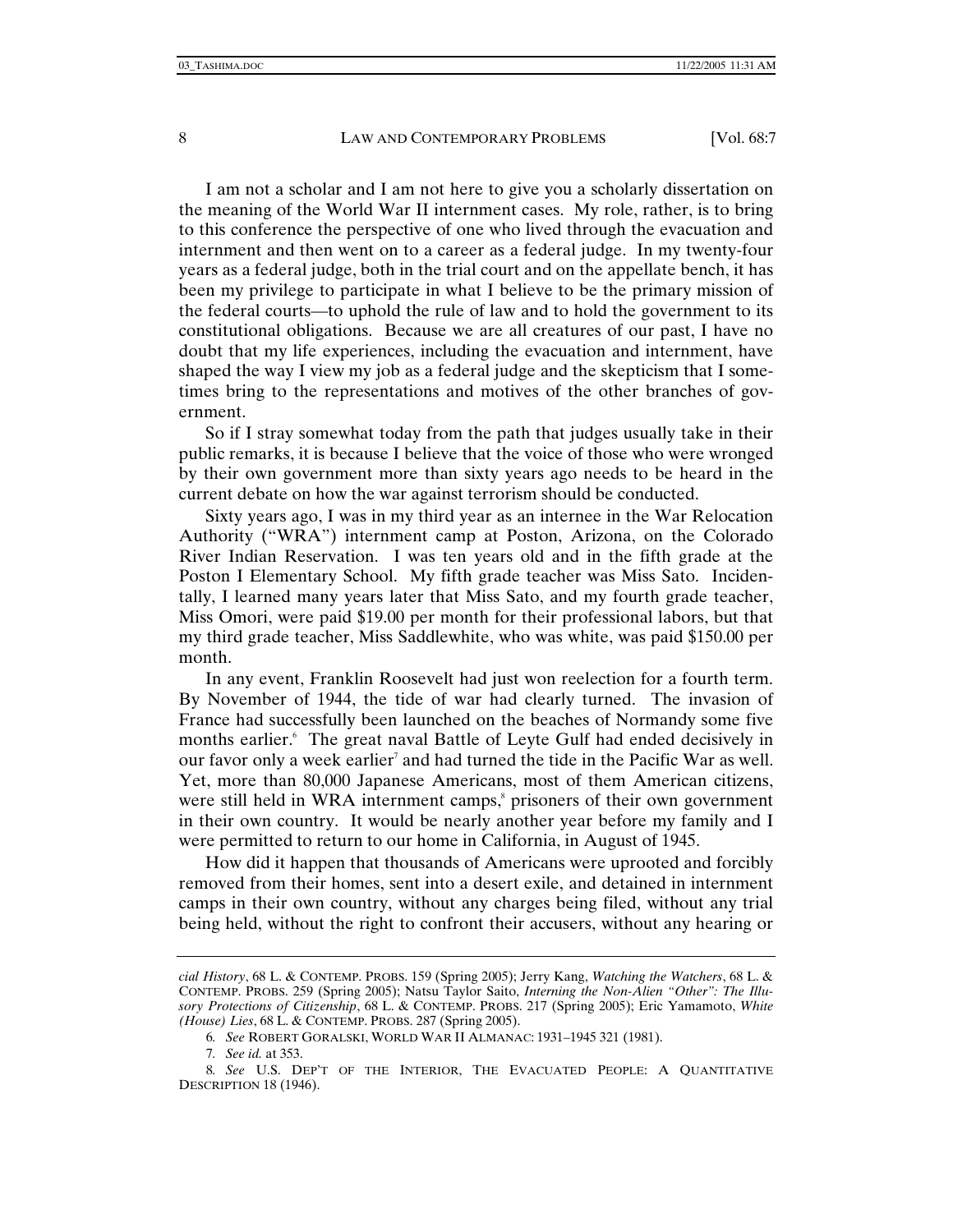I am not a scholar and I am not here to give you a scholarly dissertation on the meaning of the World War II internment cases. My role, rather, is to bring to this conference the perspective of one who lived through the evacuation and internment and then went on to a career as a federal judge. In my twenty-four years as a federal judge, both in the trial court and on the appellate bench, it has been my privilege to participate in what I believe to be the primary mission of the federal courts—to uphold the rule of law and to hold the government to its constitutional obligations. Because we are all creatures of our past, I have no doubt that my life experiences, including the evacuation and internment, have shaped the way I view my job as a federal judge and the skepticism that I sometimes bring to the representations and motives of the other branches of government.

So if I stray somewhat today from the path that judges usually take in their public remarks, it is because I believe that the voice of those who were wronged by their own government more than sixty years ago needs to be heard in the current debate on how the war against terrorism should be conducted.

Sixty years ago, I was in my third year as an internee in the War Relocation Authority ("WRA") internment camp at Poston, Arizona, on the Colorado River Indian Reservation. I was ten years old and in the fifth grade at the Poston I Elementary School. My fifth grade teacher was Miss Sato. Incidentally, I learned many years later that Miss Sato, and my fourth grade teacher, Miss Omori, were paid \$19.00 per month for their professional labors, but that my third grade teacher, Miss Saddlewhite, who was white, was paid \$150.00 per month.

In any event, Franklin Roosevelt had just won reelection for a fourth term. By November of 1944, the tide of war had clearly turned. The invasion of France had successfully been launched on the beaches of Normandy some five months earlier.<sup>6</sup> The great naval Battle of Leyte Gulf had ended decisively in our favor only a week earlier<sup>7</sup> and had turned the tide in the Pacific War as well. Yet, more than 80,000 Japanese Americans, most of them American citizens, were still held in WRA internment camps,<sup>8</sup> prisoners of their own government in their own country. It would be nearly another year before my family and I were permitted to return to our home in California, in August of 1945.

How did it happen that thousands of Americans were uprooted and forcibly removed from their homes, sent into a desert exile, and detained in internment camps in their own country, without any charges being filed, without any trial being held, without the right to confront their accusers, without any hearing or

7*. See id.* at 353.

*cial History*, 68 L. & CONTEMP. PROBS. 159 (Spring 2005); Jerry Kang, *Watching the Watchers*, 68 L. & CONTEMP. PROBS. 259 (Spring 2005); Natsu Taylor Saito, *Interning the Non-Alien "Other": The Illusory Protections of Citizenship*, 68 L. & CONTEMP. PROBS. 217 (Spring 2005); Eric Yamamoto, *White (House) Lies*, 68 L. & CONTEMP. PROBS. 287 (Spring 2005).

<sup>6</sup>*. See* ROBERT GORALSKI, WORLD WAR II ALMANAC: 1931–1945 321 (1981).

<sup>8</sup>*. See* U.S. DEP'T OF THE INTERIOR, THE EVACUATED PEOPLE: A QUANTITATIVE DESCRIPTION 18 (1946).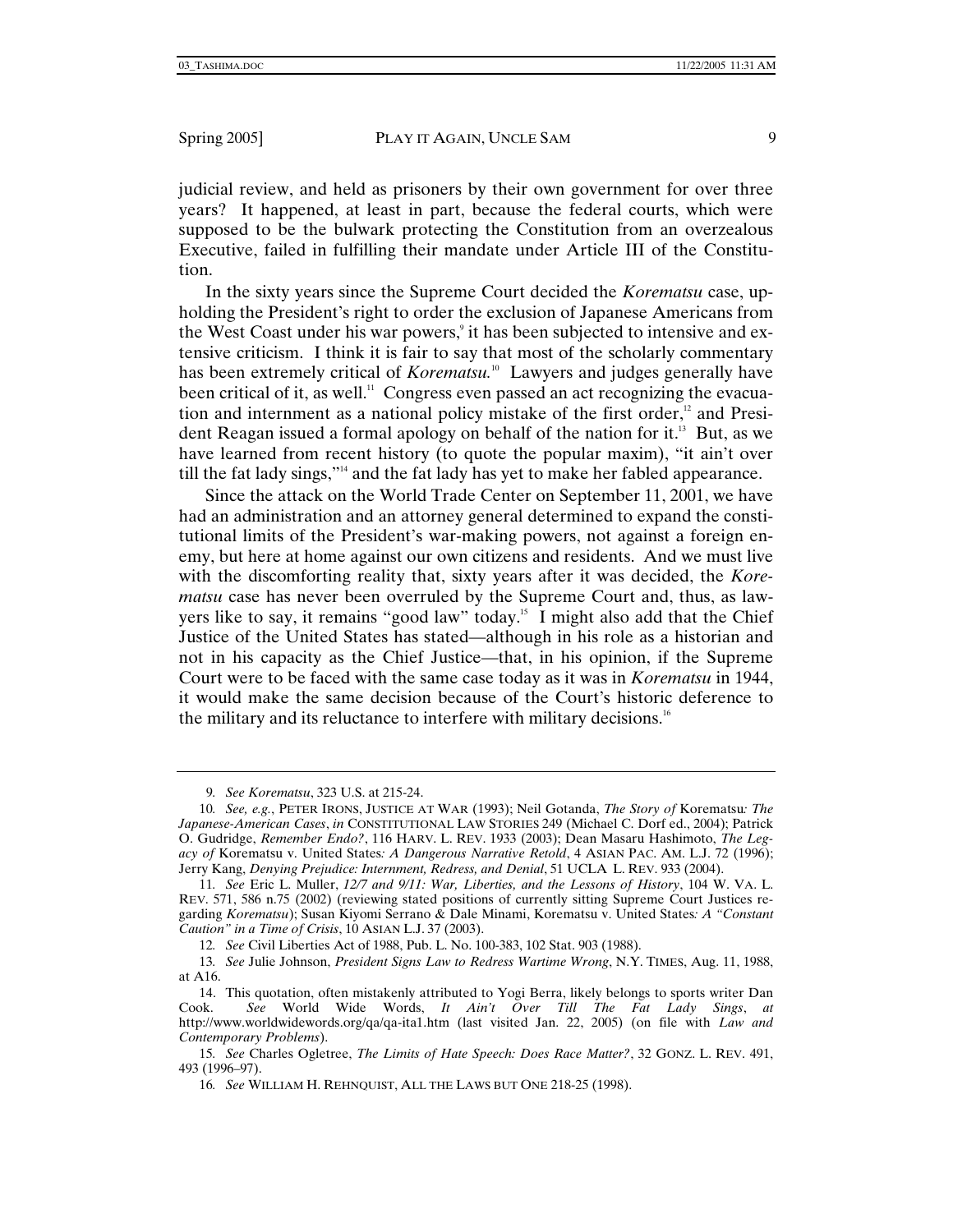judicial review, and held as prisoners by their own government for over three years? It happened, at least in part, because the federal courts, which were supposed to be the bulwark protecting the Constitution from an overzealous Executive, failed in fulfilling their mandate under Article III of the Constitution.

In the sixty years since the Supreme Court decided the *Korematsu* case, upholding the President's right to order the exclusion of Japanese Americans from the West Coast under his war powers,<sup>9</sup> it has been subjected to intensive and extensive criticism. I think it is fair to say that most of the scholarly commentary has been extremely critical of *Korematsu*.<sup>10</sup> Lawyers and judges generally have been critical of it, as well.<sup>11</sup> Congress even passed an act recognizing the evacuation and internment as a national policy mistake of the first order, $12$  and President Reagan issued a formal apology on behalf of the nation for it.<sup>13</sup> But, as we have learned from recent history (to quote the popular maxim), "it ain't over till the fat lady sings,"14 and the fat lady has yet to make her fabled appearance.

Since the attack on the World Trade Center on September 11, 2001, we have had an administration and an attorney general determined to expand the constitutional limits of the President's war-making powers, not against a foreign enemy, but here at home against our own citizens and residents. And we must live with the discomforting reality that, sixty years after it was decided, the *Korematsu* case has never been overruled by the Supreme Court and, thus, as lawyers like to say, it remains "good law" today.15 I might also add that the Chief Justice of the United States has stated—although in his role as a historian and not in his capacity as the Chief Justice—that, in his opinion, if the Supreme Court were to be faced with the same case today as it was in *Korematsu* in 1944, it would make the same decision because of the Court's historic deference to the military and its reluctance to interfere with military decisions.16

<sup>9</sup>*. See Korematsu*, 323 U.S. at 215-24.

<sup>10</sup>*. See, e.g.*, PETER IRONS, JUSTICE AT WAR (1993); Neil Gotanda, *The Story of* Korematsu*: The Japanese-American Cases*, *in* CONSTITUTIONAL LAW STORIES 249 (Michael C. Dorf ed., 2004); Patrick O. Gudridge, *Remember Endo?*, 116 HARV. L. REV. 1933 (2003); Dean Masaru Hashimoto, *The Legacy of* Korematsu v. United States*: A Dangerous Narrative Retold*, 4 ASIAN PAC. AM. L.J. 72 (1996); Jerry Kang, *Denying Prejudice: Internment, Redress, and Denial*, 51 UCLA L. REV. 933 (2004).

<sup>11</sup>*. See* Eric L. Muller, *12/7 and 9/11: War, Liberties, and the Lessons of History*, 104 W. VA. L. REV. 571, 586 n.75 (2002) (reviewing stated positions of currently sitting Supreme Court Justices regarding *Korematsu*); Susan Kiyomi Serrano & Dale Minami, Korematsu v. United States*: A "Constant Caution" in a Time of Crisis*, 10 ASIAN L.J. 37 (2003).

<sup>12</sup>*. See* Civil Liberties Act of 1988, Pub. L. No. 100-383, 102 Stat. 903 (1988).

<sup>13</sup>*. See* Julie Johnson, *President Signs Law to Redress Wartime Wrong*, N.Y. TIMES, Aug. 11, 1988, at A16.

 <sup>14.</sup> This quotation, often mistakenly attributed to Yogi Berra, likely belongs to sports writer Dan Cook. *See* World Wide Words, *It Ain't Over Till The Fat Lady Sings*, *at* http://www.worldwidewords.org/qa/qa-ita1.htm (last visited Jan. 22, 2005) (on file with *Law and Contemporary Problems*).

<sup>15</sup>*. See* Charles Ogletree, *The Limits of Hate Speech: Does Race Matter?*, 32 GONZ. L. REV. 491, 493 (1996–97).

<sup>16</sup>*. See* WILLIAM H. REHNQUIST, ALL THE LAWS BUT ONE 218-25 (1998).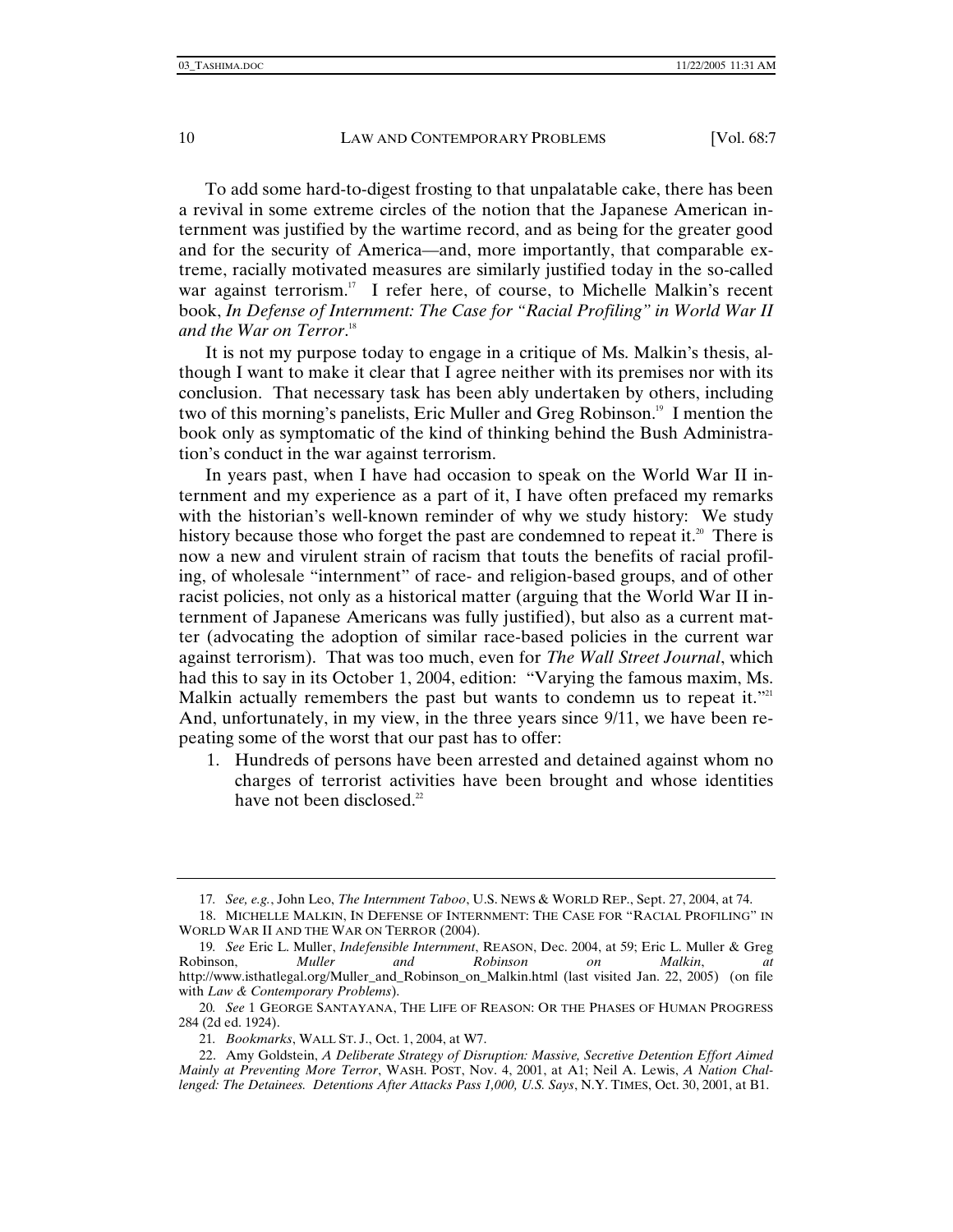To add some hard-to-digest frosting to that unpalatable cake, there has been a revival in some extreme circles of the notion that the Japanese American internment was justified by the wartime record, and as being for the greater good and for the security of America—and, more importantly, that comparable extreme, racially motivated measures are similarly justified today in the so-called war against terrorism.<sup>17</sup> I refer here, of course, to Michelle Malkin's recent book, *In Defense of Internment: The Case for "Racial Profiling" in World War II and the War on Terror*. 18

It is not my purpose today to engage in a critique of Ms. Malkin's thesis, although I want to make it clear that I agree neither with its premises nor with its conclusion. That necessary task has been ably undertaken by others, including two of this morning's panelists, Eric Muller and Greg Robinson.<sup>19</sup> I mention the book only as symptomatic of the kind of thinking behind the Bush Administration's conduct in the war against terrorism.

In years past, when I have had occasion to speak on the World War II internment and my experience as a part of it, I have often prefaced my remarks with the historian's well-known reminder of why we study history: We study history because those who forget the past are condemned to repeat it.<sup>20</sup> There is now a new and virulent strain of racism that touts the benefits of racial profiling, of wholesale "internment" of race- and religion-based groups, and of other racist policies, not only as a historical matter (arguing that the World War II internment of Japanese Americans was fully justified), but also as a current matter (advocating the adoption of similar race-based policies in the current war against terrorism). That was too much, even for *The Wall Street Journal*, which had this to say in its October 1, 2004, edition: "Varying the famous maxim, Ms. Malkin actually remembers the past but wants to condemn us to repeat it."<sup>21</sup> And, unfortunately, in my view, in the three years since 9/11, we have been repeating some of the worst that our past has to offer:

1. Hundreds of persons have been arrested and detained against whom no charges of terrorist activities have been brought and whose identities have not been disclosed.<sup>22</sup>

 22. Amy Goldstein, *A Deliberate Strategy of Disruption: Massive, Secretive Detention Effort Aimed Mainly at Preventing More Terror*, WASH. POST, Nov. 4, 2001, at A1; Neil A. Lewis, *A Nation Challenged: The Detainees. Detentions After Attacks Pass 1,000, U.S. Says*, N.Y. TIMES, Oct. 30, 2001, at B1.

<sup>17</sup>*. See, e.g.*, John Leo, *The Internment Taboo*, U.S. NEWS & WORLD REP., Sept. 27, 2004, at 74.

 <sup>18.</sup> MICHELLE MALKIN, IN DEFENSE OF INTERNMENT: THE CASE FOR "RACIAL PROFILING" IN WORLD WAR II AND THE WAR ON TERROR (2004).

<sup>19</sup>*. See* Eric L. Muller, *Indefensible Internment*, REASON, Dec. 2004, at 59; Eric L. Muller & Greg Robinson, *Muller and Robinson on Malkin*, *at*  http://www.isthatlegal.org/Muller\_and\_Robinson\_on\_Malkin.html (last visited Jan. 22, 2005) (on file with *Law & Contemporary Problems*).

<sup>20</sup>*. See* 1 GEORGE SANTAYANA, THE LIFE OF REASON: OR THE PHASES OF HUMAN PROGRESS 284 (2d ed. 1924).

<sup>21</sup>*. Bookmarks*, WALL ST. J., Oct. 1, 2004, at W7.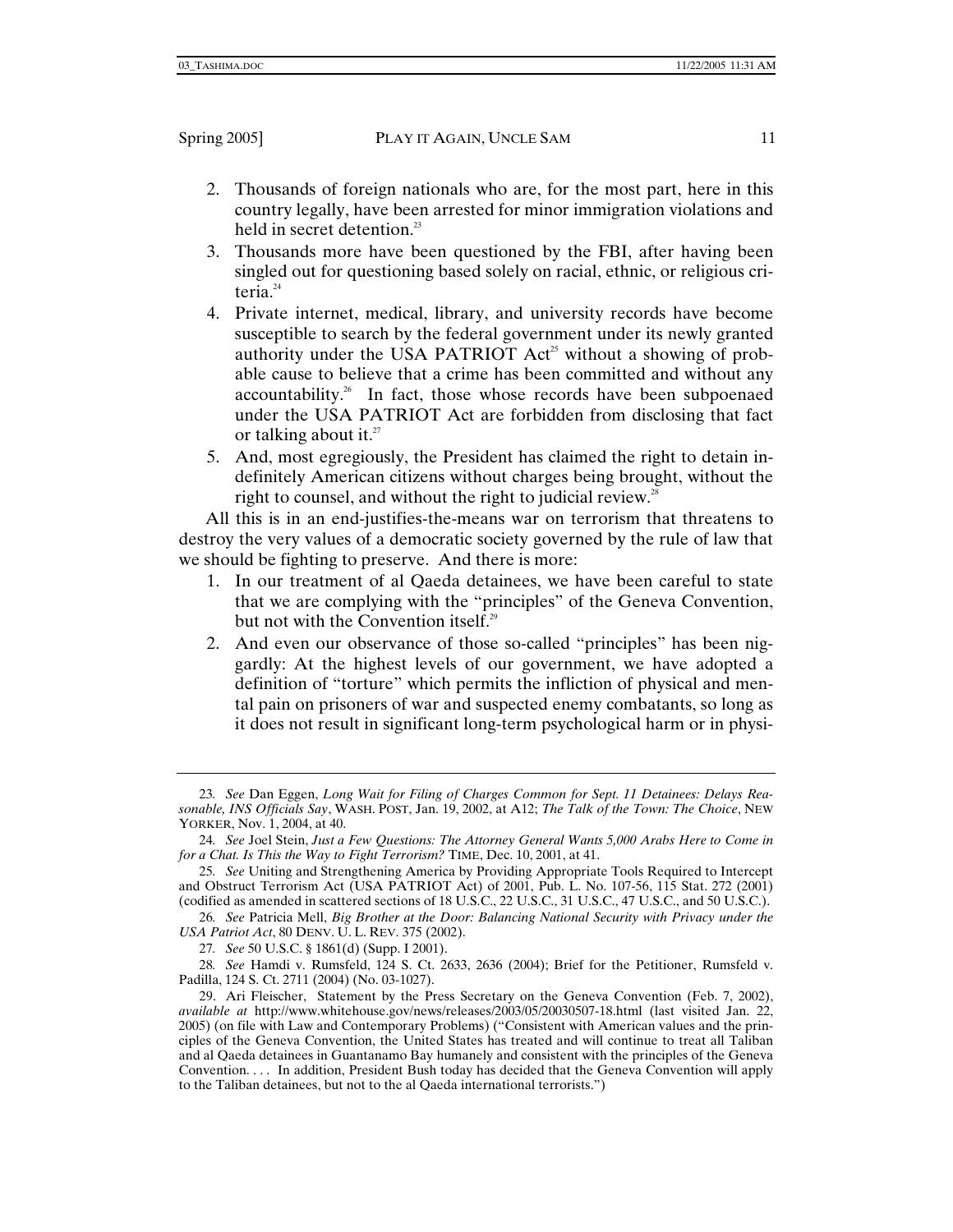- 2. Thousands of foreign nationals who are, for the most part, here in this country legally, have been arrested for minor immigration violations and held in secret detention.<sup>23</sup>
- 3. Thousands more have been questioned by the FBI, after having been singled out for questioning based solely on racial, ethnic, or religious criteria. $24$
- 4. Private internet, medical, library, and university records have become susceptible to search by the federal government under its newly granted authority under the USA PATRIOT  $Act^3$  without a showing of probable cause to believe that a crime has been committed and without any accountability.<sup>26</sup> In fact, those whose records have been subpoenaed under the USA PATRIOT Act are forbidden from disclosing that fact or talking about it. $^{27}$
- 5. And, most egregiously, the President has claimed the right to detain indefinitely American citizens without charges being brought, without the right to counsel, and without the right to judicial review.<sup>28</sup>

All this is in an end-justifies-the-means war on terrorism that threatens to destroy the very values of a democratic society governed by the rule of law that we should be fighting to preserve. And there is more:

- 1. In our treatment of al Qaeda detainees, we have been careful to state that we are complying with the "principles" of the Geneva Convention, but not with the Convention itself. $29$
- 2. And even our observance of those so-called "principles" has been niggardly: At the highest levels of our government, we have adopted a definition of "torture" which permits the infliction of physical and mental pain on prisoners of war and suspected enemy combatants, so long as it does not result in significant long-term psychological harm or in physi-

<sup>23</sup>*. See* Dan Eggen, *Long Wait for Filing of Charges Common for Sept. 11 Detainees: Delays Reasonable, INS Officials Say*, WASH. POST, Jan. 19, 2002, at A12; *The Talk of the Town: The Choice*, NEW YORKER, Nov. 1, 2004, at 40.

<sup>24</sup>*. See* Joel Stein, *Just a Few Questions: The Attorney General Wants 5,000 Arabs Here to Come in for a Chat. Is This the Way to Fight Terrorism?* TIME, Dec. 10, 2001, at 41.

<sup>25</sup>*. See* Uniting and Strengthening America by Providing Appropriate Tools Required to Intercept and Obstruct Terrorism Act (USA PATRIOT Act) of 2001, Pub. L. No. 107-56, 115 Stat. 272 (2001) (codified as amended in scattered sections of 18 U.S.C., 22 U.S.C., 31 U.S.C., 47 U.S.C., and 50 U.S.C.).

<sup>26</sup>*. See* Patricia Mell, *Big Brother at the Door: Balancing National Security with Privacy under the USA Patriot Act*, 80 DENV. U. L. REV. 375 (2002).

<sup>27</sup>*. See* 50 U.S.C. § 1861(d) (Supp. I 2001).

<sup>28</sup>*. See* Hamdi v. Rumsfeld, 124 S. Ct. 2633, 2636 (2004); Brief for the Petitioner, Rumsfeld v. Padilla, 124 S. Ct. 2711 (2004) (No. 03-1027).

 <sup>29.</sup> Ari Fleischer, Statement by the Press Secretary on the Geneva Convention (Feb. 7, 2002), *available at* http://www.whitehouse.gov/news/releases/2003/05/20030507-18.html (last visited Jan. 22, 2005) (on file with Law and Contemporary Problems) ("Consistent with American values and the principles of the Geneva Convention, the United States has treated and will continue to treat all Taliban and al Qaeda detainees in Guantanamo Bay humanely and consistent with the principles of the Geneva Convention. . . . In addition, President Bush today has decided that the Geneva Convention will apply to the Taliban detainees, but not to the al Qaeda international terrorists.")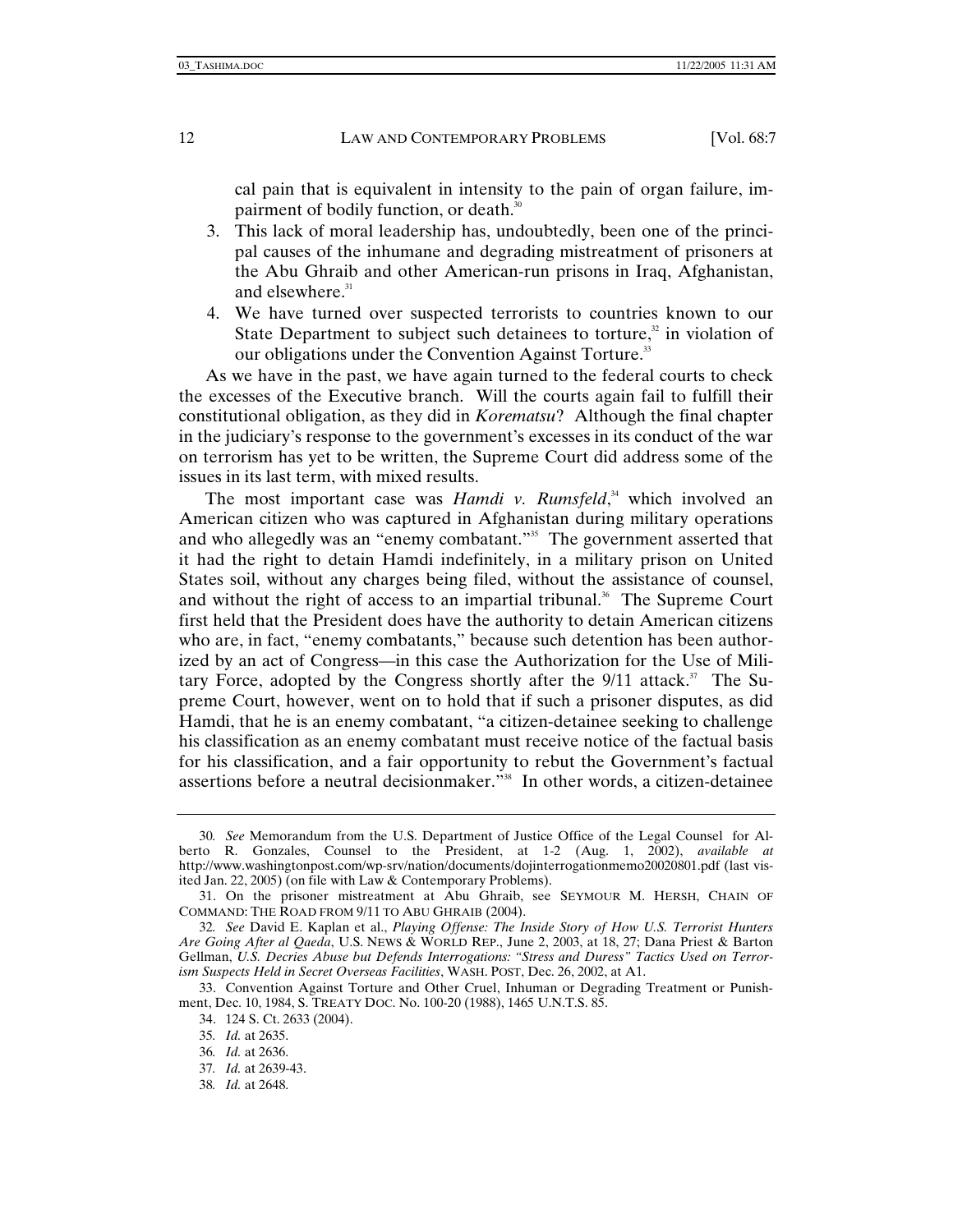cal pain that is equivalent in intensity to the pain of organ failure, impairment of bodily function, or death.<sup>30</sup>

- 3. This lack of moral leadership has, undoubtedly, been one of the principal causes of the inhumane and degrading mistreatment of prisoners at the Abu Ghraib and other American-run prisons in Iraq, Afghanistan, and elsewhere.<sup>31</sup>
- 4. We have turned over suspected terrorists to countries known to our State Department to subject such detainees to torture, $x^2$  in violation of our obligations under the Convention Against Torture.<sup>33</sup>

As we have in the past, we have again turned to the federal courts to check the excesses of the Executive branch. Will the courts again fail to fulfill their constitutional obligation, as they did in *Korematsu*? Although the final chapter in the judiciary's response to the government's excesses in its conduct of the war on terrorism has yet to be written, the Supreme Court did address some of the issues in its last term, with mixed results.

The most important case was *Hamdi v. Rumsfeld*,<sup>34</sup> which involved an American citizen who was captured in Afghanistan during military operations and who allegedly was an "enemy combatant."<sup>35</sup> The government asserted that it had the right to detain Hamdi indefinitely, in a military prison on United States soil, without any charges being filed, without the assistance of counsel, and without the right of access to an impartial tribunal.<sup>36</sup> The Supreme Court first held that the President does have the authority to detain American citizens who are, in fact, "enemy combatants," because such detention has been authorized by an act of Congress—in this case the Authorization for the Use of Military Force, adopted by the Congress shortly after the  $9/11$  attack.<sup>37</sup> The Supreme Court, however, went on to hold that if such a prisoner disputes, as did Hamdi, that he is an enemy combatant, "a citizen-detainee seeking to challenge his classification as an enemy combatant must receive notice of the factual basis for his classification, and a fair opportunity to rebut the Government's factual assertions before a neutral decisionmaker."38 In other words, a citizen-detainee

38*. Id.* at 2648.

<sup>30</sup>*. See* Memorandum from the U.S. Department of Justice Office of the Legal Counsel for Alberto R. Gonzales, Counsel to the President, at 1-2 (Aug. 1, 2002), *available at* http://www.washingtonpost.com/wp-srv/nation/documents/dojinterrogationmemo20020801.pdf (last visited Jan. 22, 2005) (on file with Law & Contemporary Problems).

 <sup>31.</sup> On the prisoner mistreatment at Abu Ghraib, see SEYMOUR M. HERSH, CHAIN OF COMMAND: THE ROAD FROM 9/11 TO ABU GHRAIB (2004).

<sup>32</sup>*. See* David E. Kaplan et al., *Playing Offense: The Inside Story of How U.S. Terrorist Hunters Are Going After al Qaeda*, U.S. NEWS & WORLD REP., June 2, 2003, at 18, 27; Dana Priest & Barton Gellman, *U.S. Decries Abuse but Defends Interrogations: "Stress and Duress" Tactics Used on Terrorism Suspects Held in Secret Overseas Facilities*, WASH. POST, Dec. 26, 2002, at A1.

 <sup>33.</sup> Convention Against Torture and Other Cruel, Inhuman or Degrading Treatment or Punishment, Dec. 10, 1984, S. TREATY DOC. No. 100-20 (1988), 1465 U.N.T.S. 85.

 <sup>34. 124</sup> S. Ct. 2633 (2004).

<sup>35</sup>*. Id.* at 2635.

<sup>36</sup>*. Id.* at 2636.

<sup>37</sup>*. Id.* at 2639-43.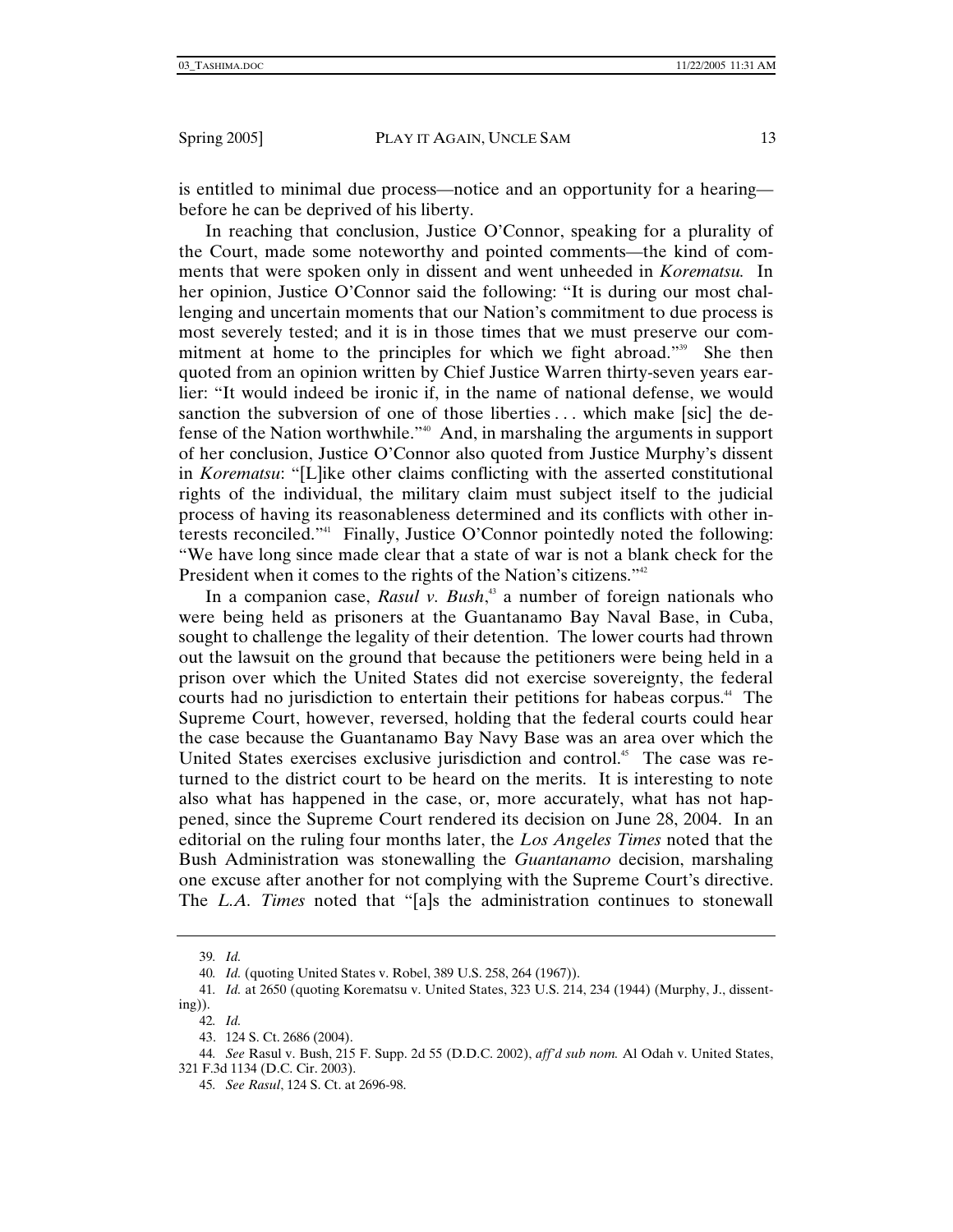is entitled to minimal due process—notice and an opportunity for a hearing before he can be deprived of his liberty.

In reaching that conclusion, Justice O'Connor, speaking for a plurality of the Court, made some noteworthy and pointed comments—the kind of comments that were spoken only in dissent and went unheeded in *Korematsu.* In her opinion, Justice O'Connor said the following: "It is during our most challenging and uncertain moments that our Nation's commitment to due process is most severely tested; and it is in those times that we must preserve our commitment at home to the principles for which we fight abroad."<sup>39</sup> She then quoted from an opinion written by Chief Justice Warren thirty-seven years earlier: "It would indeed be ironic if, in the name of national defense, we would sanction the subversion of one of those liberties ... which make [sic] the defense of the Nation worthwhile."40 And, in marshaling the arguments in support of her conclusion, Justice O'Connor also quoted from Justice Murphy's dissent in *Korematsu*: "[L]ike other claims conflicting with the asserted constitutional rights of the individual, the military claim must subject itself to the judicial process of having its reasonableness determined and its conflicts with other interests reconciled."41 Finally, Justice O'Connor pointedly noted the following: "We have long since made clear that a state of war is not a blank check for the President when it comes to the rights of the Nation's citizens."<sup>42</sup>

In a companion case, *Rasul v. Bush*<sup>3</sup> a number of foreign nationals who were being held as prisoners at the Guantanamo Bay Naval Base, in Cuba, sought to challenge the legality of their detention. The lower courts had thrown out the lawsuit on the ground that because the petitioners were being held in a prison over which the United States did not exercise sovereignty, the federal courts had no jurisdiction to entertain their petitions for habeas corpus.<sup>44</sup> The Supreme Court, however, reversed, holding that the federal courts could hear the case because the Guantanamo Bay Navy Base was an area over which the United States exercises exclusive jurisdiction and control.<sup>45</sup> The case was returned to the district court to be heard on the merits. It is interesting to note also what has happened in the case, or, more accurately, what has not happened, since the Supreme Court rendered its decision on June 28, 2004. In an editorial on the ruling four months later, the *Los Angeles Times* noted that the Bush Administration was stonewalling the *Guantanamo* decision, marshaling one excuse after another for not complying with the Supreme Court's directive. The *L.A. Times* noted that "[a]s the administration continues to stonewall

<sup>39</sup>*. Id.*

<sup>40</sup>*. Id.* (quoting United States v. Robel, 389 U.S. 258, 264 (1967)).

<sup>41</sup>*. Id.* at 2650 (quoting Korematsu v. United States, 323 U.S. 214, 234 (1944) (Murphy, J., dissenting)).

<sup>42</sup>*. Id.*

 <sup>43. 124</sup> S. Ct. 2686 (2004).

<sup>44</sup>*. See* Rasul v. Bush, 215 F. Supp. 2d 55 (D.D.C. 2002), *aff'd sub nom.* Al Odah v. United States, 321 F.3d 1134 (D.C. Cir. 2003).

<sup>45</sup>*. See Rasul*, 124 S. Ct. at 2696-98.